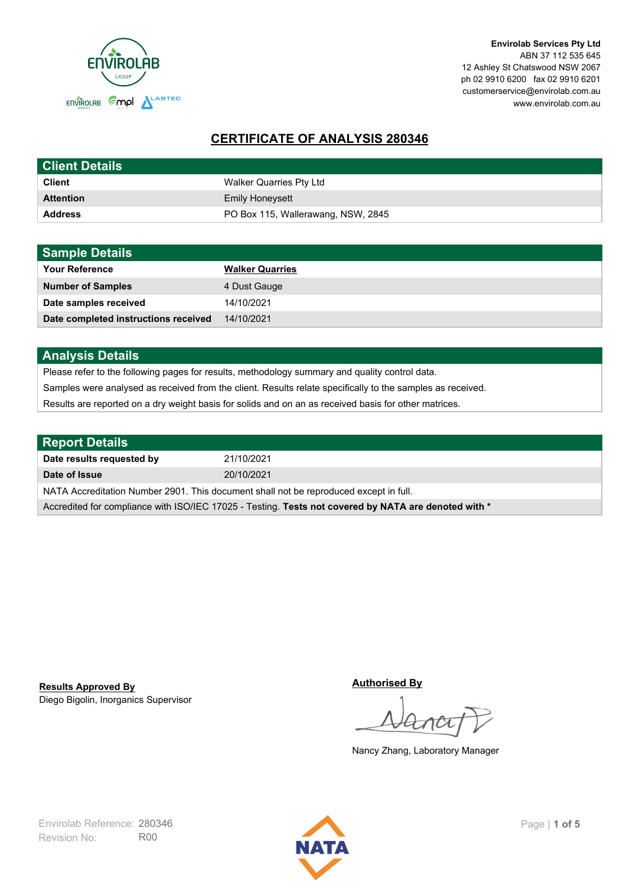

**Envirolab Services Pty Ltd** ABN 37 112 535 645 12 Ashley St Chatswood NSW 2067 ph 02 9910 6200 fax 02 9910 6201 customerservice@envirolab.com.au www.envirolab.com.au

# **CERTIFICATE OF ANALYSIS 280346**

| <b>Client Details</b> |                                    |
|-----------------------|------------------------------------|
| <b>Client</b>         | Walker Quarries Pty Ltd            |
| <b>Attention</b>      | <b>Emily Honeysett</b>             |
| <b>Address</b>        | PO Box 115, Wallerawang, NSW, 2845 |

| <b>Sample Details</b>                |                        |
|--------------------------------------|------------------------|
| <b>Your Reference</b>                | <b>Walker Quarries</b> |
| <b>Number of Samples</b>             | 4 Dust Gauge           |
| Date samples received                | 14/10/2021             |
| Date completed instructions received | 14/10/2021             |

## **Analysis Details**

Please refer to the following pages for results, methodology summary and quality control data.

Samples were analysed as received from the client. Results relate specifically to the samples as received.

Results are reported on a dry weight basis for solids and on an as received basis for other matrices.

| <b>Report Details</b>                                                                                |            |  |
|------------------------------------------------------------------------------------------------------|------------|--|
| Date results requested by                                                                            | 21/10/2021 |  |
| Date of Issue                                                                                        | 20/10/2021 |  |
| NATA Accreditation Number 2901. This document shall not be reproduced except in full.                |            |  |
| Accredited for compliance with ISO/IEC 17025 - Testing. Tests not covered by NATA are denoted with * |            |  |

Diego Bigolin, Inorganics Supervisor **Results Approved By**

**Authorised By**

Nancy Zhang, Laboratory Manager

Revision No: R00 Envirolab Reference: 280346 Page | 1 of 5

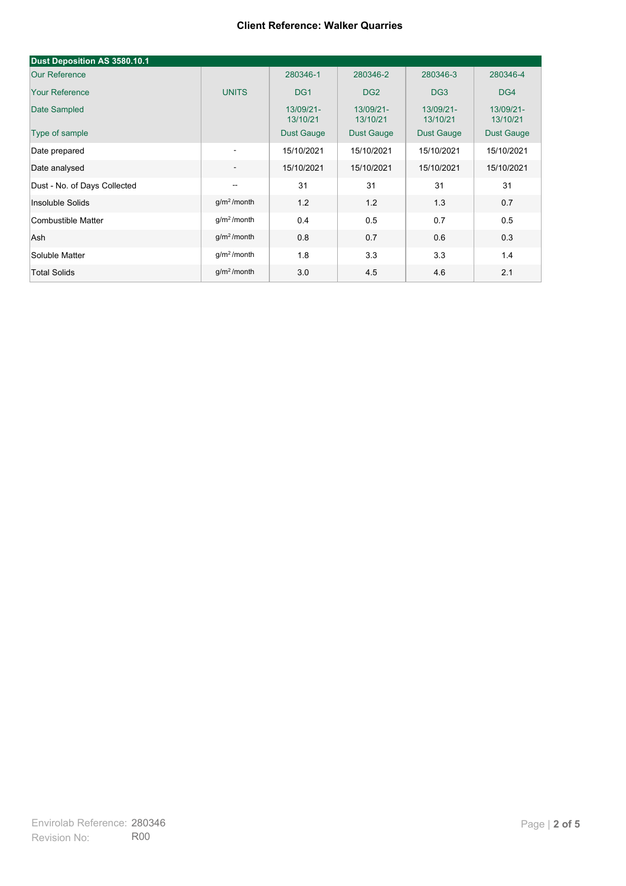| Dust Deposition AS 3580.10.1 |                          |                       |                       |                       |                       |
|------------------------------|--------------------------|-----------------------|-----------------------|-----------------------|-----------------------|
| <b>Our Reference</b>         |                          | 280346-1              | 280346-2              | 280346-3              | 280346-4              |
| <b>Your Reference</b>        | <b>UNITS</b>             | DG <sub>1</sub>       | DG <sub>2</sub>       | DG <sub>3</sub>       | DG4                   |
| Date Sampled                 |                          | 13/09/21-<br>13/10/21 | 13/09/21-<br>13/10/21 | 13/09/21-<br>13/10/21 | 13/09/21-<br>13/10/21 |
| Type of sample               |                          | <b>Dust Gauge</b>     | <b>Dust Gauge</b>     | <b>Dust Gauge</b>     | <b>Dust Gauge</b>     |
| Date prepared                | $\overline{\phantom{a}}$ | 15/10/2021            | 15/10/2021            | 15/10/2021            | 15/10/2021            |
| Date analysed                | $\overline{\phantom{a}}$ | 15/10/2021            | 15/10/2021            | 15/10/2021            | 15/10/2021            |
| Dust - No. of Days Collected | $\overline{\phantom{a}}$ | 31                    | 31                    | 31                    | 31                    |
| Insoluble Solids             | g/m <sup>2</sup> /month  | 1.2                   | 1.2                   | 1.3                   | 0.7                   |
| Combustible Matter           | $g/m2$ /month            | 0.4                   | 0.5                   | 0.7                   | 0.5                   |
| Ash                          | g/m <sup>2</sup> /month  | 0.8                   | 0.7                   | 0.6                   | 0.3                   |
| Soluble Matter               | g/m <sup>2</sup> /month  | 1.8                   | 3.3                   | 3.3                   | 1.4                   |
| <b>Total Solids</b>          | g/m <sup>2</sup> /month  | 3.0                   | 4.5                   | 4.6                   | 2.1                   |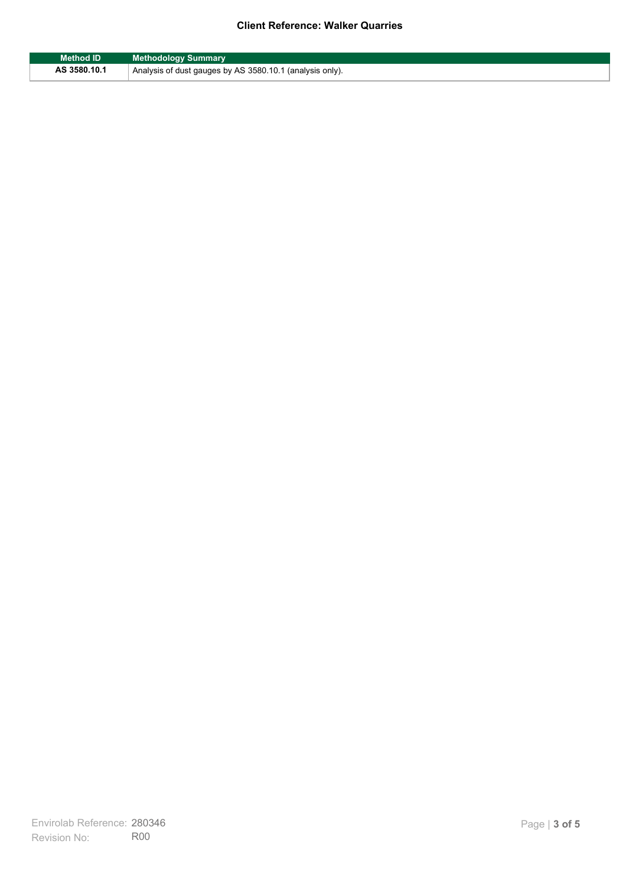| Method ID    | <b>Methodology Summary</b>                               |
|--------------|----------------------------------------------------------|
| AS 3580.10.1 | Analysis of dust gauges by AS 3580.10.1 (analysis only). |

F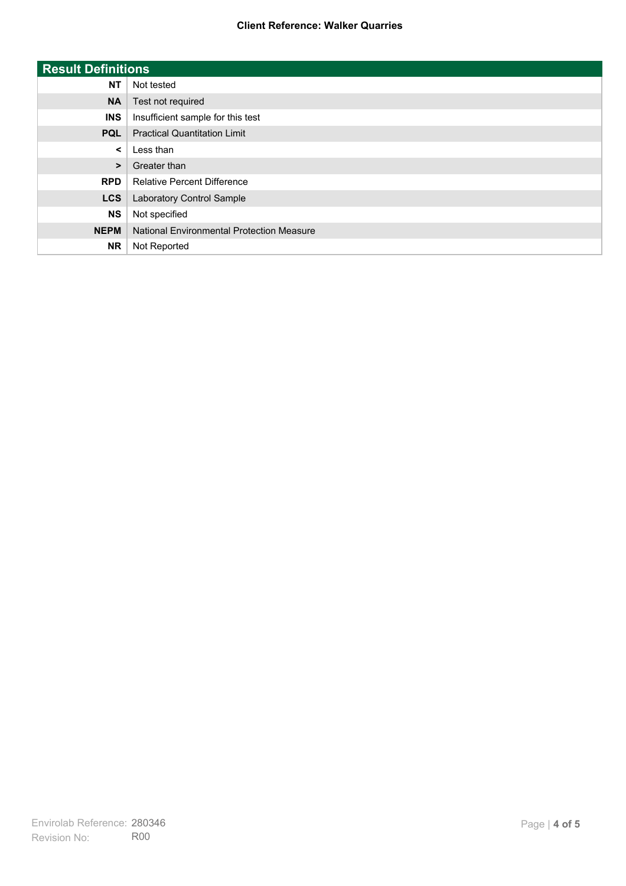| <b>Result Definitions</b> |                                           |
|---------------------------|-------------------------------------------|
| <b>NT</b>                 | Not tested                                |
| <b>NA</b>                 | Test not required                         |
| <b>INS</b>                | Insufficient sample for this test         |
| <b>PQL</b>                | <b>Practical Quantitation Limit</b>       |
| $\prec$                   | Less than                                 |
| $\geq$                    | Greater than                              |
| <b>RPD</b>                | <b>Relative Percent Difference</b>        |
| <b>LCS</b>                | Laboratory Control Sample                 |
| <b>NS</b>                 | Not specified                             |
| <b>NEPM</b>               | National Environmental Protection Measure |
| <b>NR</b>                 | Not Reported                              |